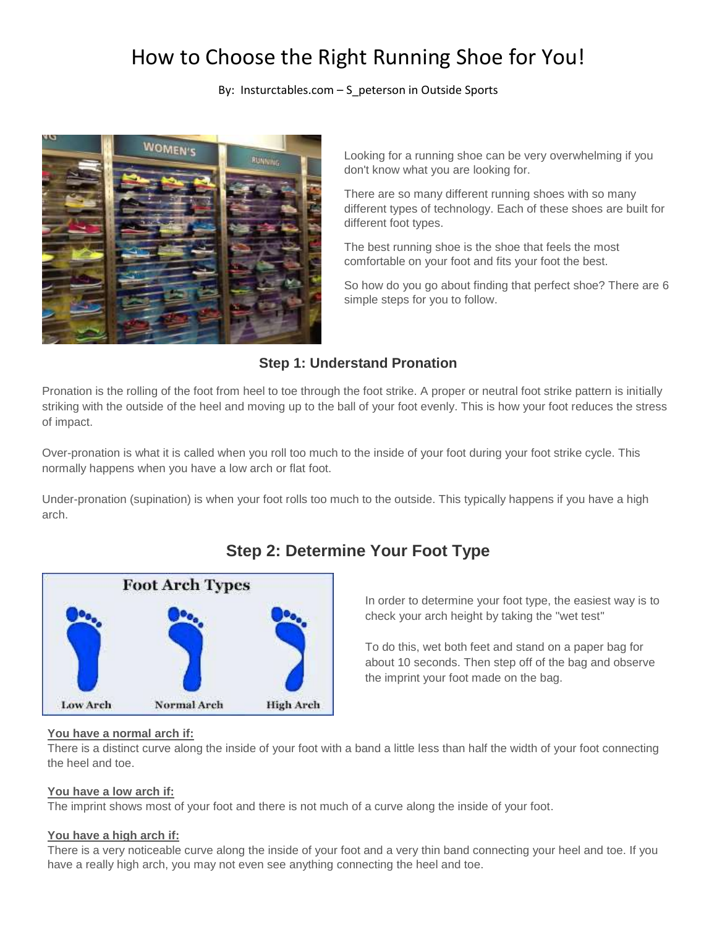# How to Choose the Right Running Shoe for You!

#### By: Insturctables.com – S\_peterson in Outside Sports



 Looking for a running shoe can be very overwhelming if you don't know what you are looking for.

There are so many different running shoes with so many different types of technology. Each of these shoes are built for different foot types.

The best running shoe is the shoe that feels the most comfortable on your foot and fits your foot the best.

So how do you go about finding that perfect shoe? There are 6 simple steps for you to follow.

### **Step 1: Understand Pronation**

 striking with the outside of the heel and moving up to the ball of your foot evenly. This is how your foot reduces the stress Pronation is the rolling of the foot from heel to toe through the foot strike. A proper or neutral foot strike pattern is initially of impact.

 Over-pronation is what it is called when you roll too much to the inside of your foot during your foot strike cycle. This normally happens when you have a low arch or flat foot.

Under-pronation (supination) is when your foot rolls too much to the outside. This typically happens if you have a high arch.



# **Step 2: Determine Your Foot Type**

 In order to determine your foot type, the easiest way is to check your arch height by taking the "wet test"

To do this, wet both feet and stand on a paper bag for about 10 seconds. Then step off of the bag and observe the imprint your foot made on the bag.

#### **You have a normal arch if:**

There is a distinct curve along the inside of your foot with a band a little less than half the width of your foot connecting the heel and toe.

#### **You have a low arch if:**

The imprint shows most of your foot and there is not much of a curve along the inside of your foot.

#### **You have a high arch if:**

 There is a very noticeable curve along the inside of your foot and a very thin band connecting your heel and toe. If you have a really high arch, you may not even see anything connecting the heel and toe.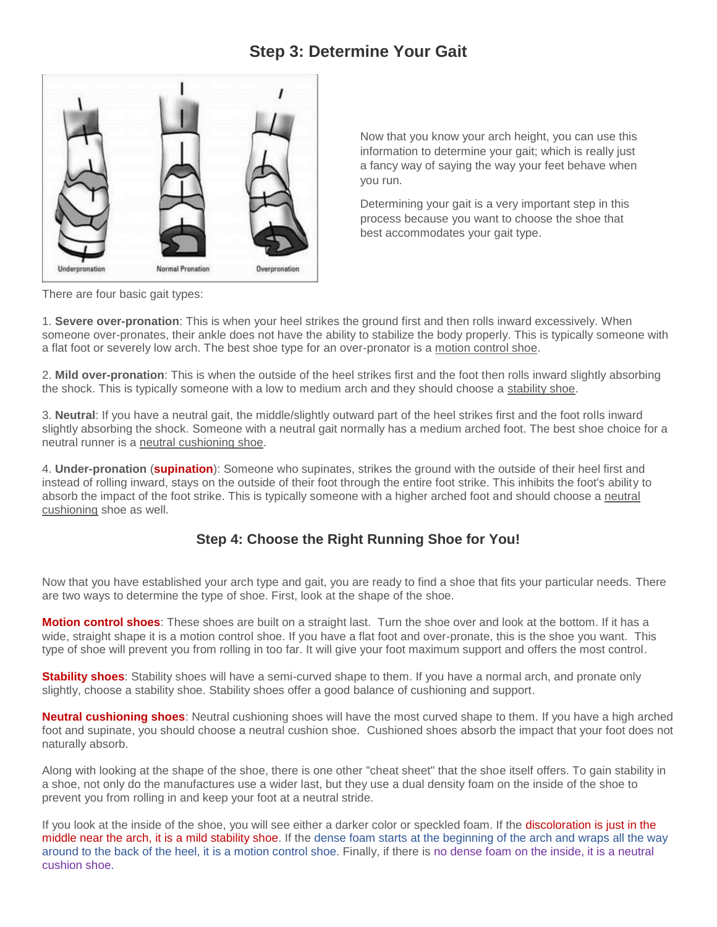## **Step 3: Determine Your Gait**



 a fancy way of saying the way your feet behave when Now that you know your arch height, you can use this information to determine your gait; which is really just you run.

 Determining your gait is a very important step in this best accommodates your gait type. process because you want to choose the shoe that

There are four basic gait types:

 1. **Severe over-pronation**: This is when your heel strikes the ground first and then rolls inward excessively. When someone over-pronates, their ankle does not have the ability to stabilize the body properly. This is typically someone with a flat foot or severely low arch. The best shoe type for an over-pronator is a motion control shoe.

 2. **Mild over-pronation**: This is when the outside of the heel strikes first and the foot then rolls inward slightly absorbing the shock. This is typically someone with a low to medium arch and they should choose a stability shoe.

 3. **Neutral**: If you have a neutral gait, the middle/slightly outward part of the heel strikes first and the foot rolls inward slightly absorbing the shock. Someone with a neutral gait normally has a medium arched foot. The best shoe choice for a neutral runner is a neutral cushioning shoe.

4. **Under-pronation** (**supination**): Someone who supinates, strikes the ground with the outside of their heel first and instead of rolling inward, stays on the outside of their foot through the entire foot strike. This inhibits the foot's ability to absorb the impact of the foot strike. This is typically someone with a higher arched foot and should choose a neutral cushioning shoe as well.

### **Step 4: Choose the Right Running Shoe for You!**

Now that you have established your arch type and gait, you are ready to find a shoe that fits your particular needs. There are two ways to determine the type of shoe. First, look at the shape of the shoe.

 wide, straight shape it is a motion control shoe. If you have a flat foot and over-pronate, this is the shoe you want. This **Motion control shoes**: These shoes are built on a straight last. Turn the shoe over and look at the bottom. If it has a type of shoe will prevent you from rolling in too far. It will give your foot maximum support and offers the most control.

**Stability shoes**: Stability shoes will have a semi-curved shape to them. If you have a normal arch, and pronate only slightly, choose a stability shoe. Stability shoes offer a good balance of cushioning and support.

 **Neutral cushioning shoes**: Neutral cushioning shoes will have the most curved shape to them. If you have a high arched foot and supinate, you should choose a neutral cushion shoe. Cushioned shoes absorb the impact that your foot does not naturally absorb.

 Along with looking at the shape of the shoe, there is one other "cheat sheet" that the shoe itself offers. To gain stability in a shoe, not only do the manufactures use a wider last, but they use a dual density foam on the inside of the shoe to prevent you from rolling in and keep your foot at a neutral stride.

middle near the arch, it is a mild stability shoe. If the dense foam starts at the beginning of the arch and wraps all the way If you look at the inside of the shoe, you will see either a darker color or speckled foam. If the discoloration is just in the around to the back of the heel, it is a motion control shoe. Finally, if there is no dense foam on the inside, it is a neutral cushion shoe.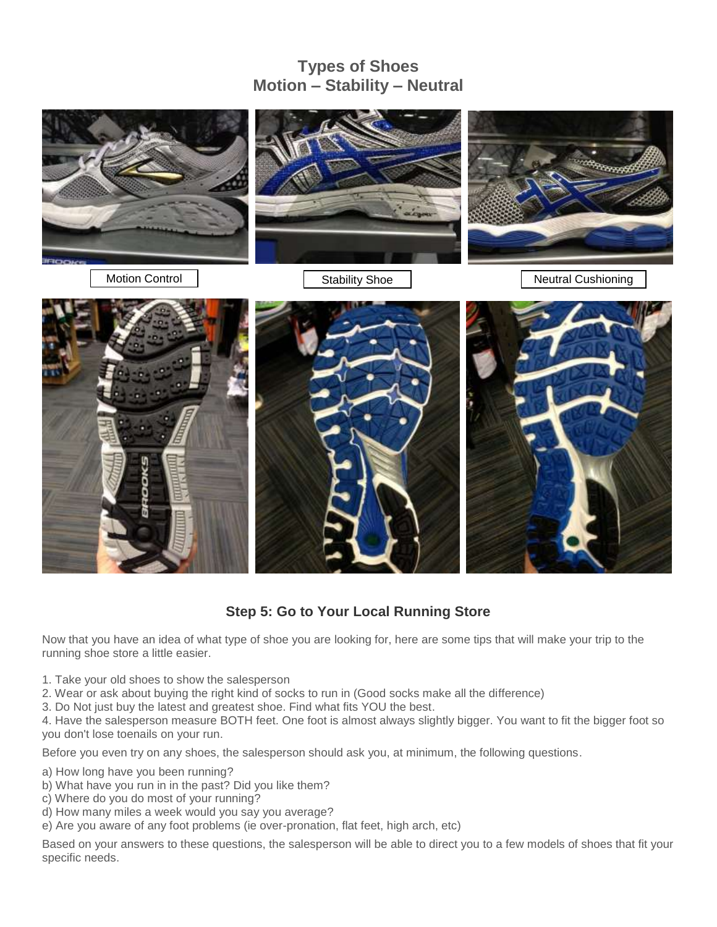# **Types of Shoes Motion – Stability – Neutral**



**Step 5: Go to Your Local Running Store** 

 Now that you have an idea of what type of shoe you are looking for, here are some tips that will make your trip to the running shoe store a little easier.

- 1. Take your old shoes to show the salesperson
- 2. Wear or ask about buying the right kind of socks to run in (Good socks make all the difference)
- 3. Do Not just buy the latest and greatest shoe. Find what fits YOU the best.

 you don't lose toenails on your run. 4. Have the salesperson measure BOTH feet. One foot is almost always slightly bigger. You want to fit the bigger foot so

Before you even try on any shoes, the salesperson should ask you, at minimum, the following questions.

- a) How long have you been running?
- b) What have you run in in the past? Did you like them?
- c) Where do you do most of your running?
- d) How many miles a week would you say you average?
- e) Are you aware of any foot problems (ie over-pronation, flat feet, high arch, etc)

 Based on your answers to these questions, the salesperson will be able to direct you to a few models of shoes that fit your specific needs.